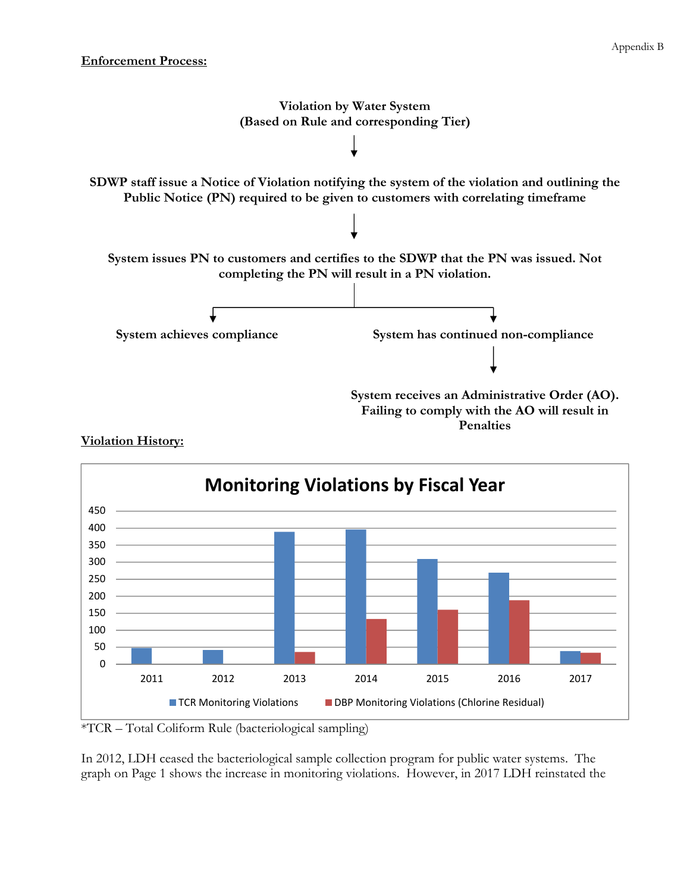



## **Violation History:**

\*TCR – Total Coliform Rule (bacteriological sampling)

In 2012, LDH ceased the bacteriological sample collection program for public water systems. The graph on Page 1 shows the increase in monitoring violations. However, in 2017 LDH reinstated the